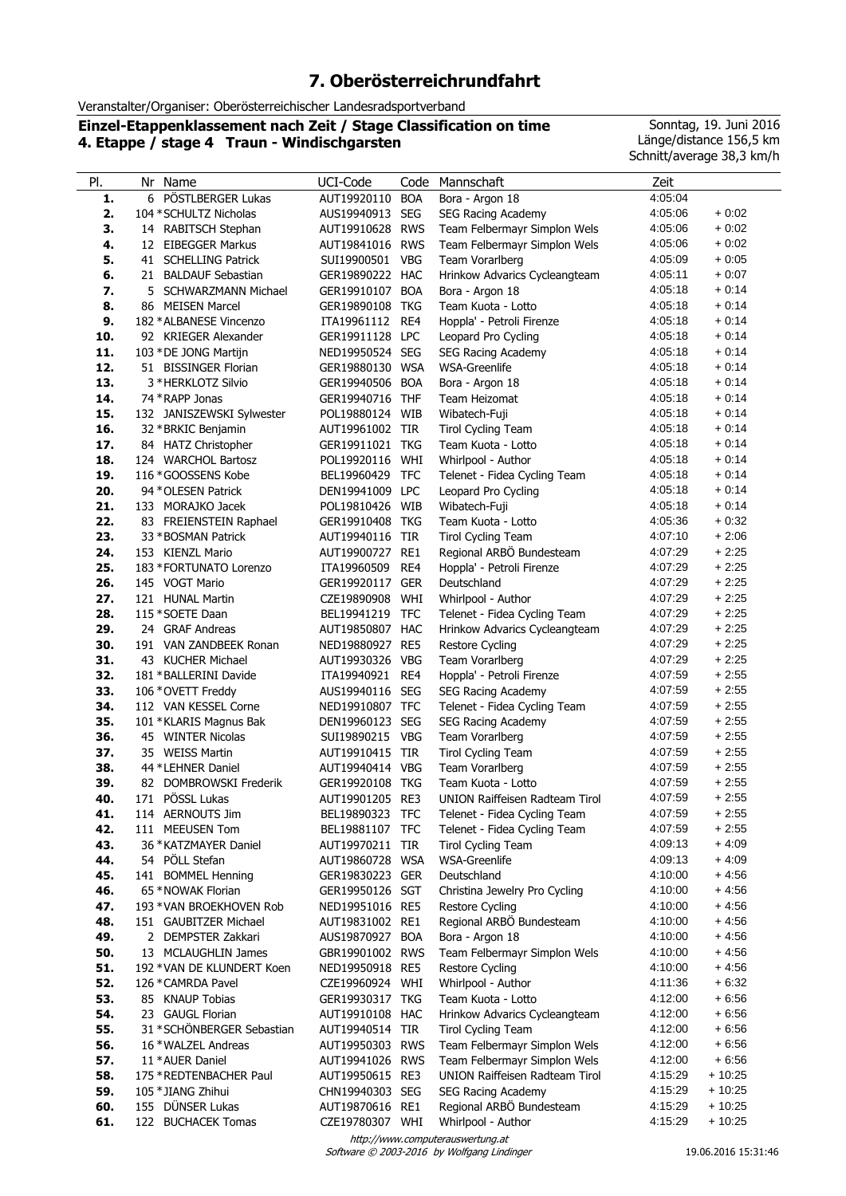## **7. Oberösterreichrundfahrt**

Veranstalter/Organiser: Oberösterreichischer Landesradsportverband

**Einzel-Etappenklassement nach Zeit / Stage Classification on time 4. Etappe / stage 4 Traun - Windischgarsten**

Sonntag, 19. Juni 2016 Länge/distance 156,5 km Schnitt/average 38,3 km/h

| PI.        | Nr Name                                           | UCI-Code                           | Code       | Mannschaft                                         | Zeit               |                    |
|------------|---------------------------------------------------|------------------------------------|------------|----------------------------------------------------|--------------------|--------------------|
| 1.         | 6 PÖSTLBERGER Lukas                               | AUT19920110                        | <b>BOA</b> | Bora - Argon 18                                    | 4:05:04            |                    |
| 2.         | 104 * SCHULTZ Nicholas                            | AUS19940913                        | <b>SEG</b> | SEG Racing Academy                                 | 4:05:06            | $+0.02$            |
| З.         | 14 RABITSCH Stephan                               | AUT19910628 RWS                    |            | Team Felbermayr Simplon Wels                       | 4:05:06            | $+0.02$            |
| 4.         | 12 EIBEGGER Markus                                | AUT19841016                        | <b>RWS</b> | Team Felbermayr Simplon Wels                       | 4:05:06            | $+0.02$            |
| 5.         | 41 SCHELLING Patrick                              | SUI19900501 VBG                    |            | Team Vorarlberg                                    | 4:05:09            | $+0.05$            |
| 6.         | 21 BALDAUF Sebastian                              | GER19890222 HAC                    |            | Hrinkow Advarics Cycleangteam                      | 4:05:11            | $+0:07$            |
| 7.         | <b>SCHWARZMANN Michael</b><br>5                   | GER19910107 BOA                    |            | Bora - Argon 18                                    | 4:05:18            | $+0.14$            |
| 8.         | 86 MEISEN Marcel                                  | GER19890108 TKG                    |            | Team Kuota - Lotto                                 | 4:05:18<br>4:05:18 | $+0.14$<br>$+0.14$ |
| 9.<br>10.  | 182 * ALBANESE Vincenzo<br>92 KRIEGER Alexander   | ITA19961112<br>GER19911128 LPC     | RE4        | Hoppla' - Petroli Firenze<br>Leopard Pro Cycling   | 4:05:18            | $+0:14$            |
| 11.        | 103 * DE JONG Martijn                             | NED19950524 SEG                    |            | <b>SEG Racing Academy</b>                          | 4:05:18            | $+0.14$            |
| 12.        | 51 BISSINGER Florian                              | GER19880130 WSA                    |            | WSA-Greenlife                                      | 4:05:18            | $+0.14$            |
| 13.        | 3 * HERKLOTZ Silvio                               | GER19940506                        | <b>BOA</b> | Bora - Argon 18                                    | 4:05:18            | $+0.14$            |
| 14.        | 74 * RAPP Jonas                                   | GER19940716                        | <b>THF</b> | Team Heizomat                                      | 4:05:18            | $+0.14$            |
| 15.        | 132 JANISZEWSKI Sylwester                         | POL19880124 WIB                    |            | Wibatech-Fuji                                      | 4:05:18            | $+0.14$            |
| 16.        | 32 * BRKIC Benjamin                               | AUT19961002 TIR                    |            | <b>Tirol Cycling Team</b>                          | 4:05:18            | $+0.14$            |
| 17.        | 84 HATZ Christopher                               | GER19911021 TKG                    |            | Team Kuota - Lotto                                 | 4:05:18            | $+0.14$            |
| 18.        | 124 WARCHOL Bartosz                               | POL19920116                        | WHI        | Whirlpool - Author                                 | 4:05:18            | $+0.14$            |
| 19.        | 116 * GOOSSENS Kobe                               | BEL19960429                        | <b>TFC</b> | Telenet - Fidea Cycling Team                       | 4:05:18            | $+0.14$            |
| 20.        | 94 * OLESEN Patrick                               | DEN19941009 LPC                    |            | Leopard Pro Cycling                                | 4:05:18            | $+0:14$            |
| 21.        | 133 MORAJKO Jacek                                 | POL19810426 WIB                    |            | Wibatech-Fuji                                      | 4:05:18            | $+0.14$            |
| 22.        | 83 FREIENSTEIN Raphael                            | GER19910408 TKG                    |            | Team Kuota - Lotto                                 | 4:05:36            | $+0.32$            |
| 23.        | 33 * BOSMAN Patrick                               | AUT19940116                        | <b>TIR</b> | <b>Tirol Cycling Team</b>                          | 4:07:10            | $+2:06$            |
| 24.        | 153 KIENZL Mario                                  | AUT19900727 RE1                    |            | Regional ARBÖ Bundesteam                           | 4:07:29            | $+2:25$            |
| 25.        | 183 * FORTUNATO Lorenzo                           | ITA19960509                        | RE4        | Hoppla' - Petroli Firenze                          | 4:07:29            | $+2:25$            |
| 26.        | 145 VOGT Mario                                    | GER19920117 GER                    |            | Deutschland                                        | 4:07:29            | $+2:25$            |
| 27.        | 121 HUNAL Martin                                  | CZE19890908                        | WHI        | Whirlpool - Author                                 | 4:07:29            | $+2:25$            |
| 28.        | 115 * SOETE Daan                                  | BEL19941219                        | <b>TFC</b> | Telenet - Fidea Cycling Team                       | 4:07:29            | $+2:25$            |
| 29.        | 24 GRAF Andreas                                   | AUT19850807 HAC                    |            | Hrinkow Advarics Cycleangteam                      | 4:07:29            | $+2:25$            |
| 30.        | 191 VAN ZANDBEEK Ronan                            | NED19880927 RE5                    |            | <b>Restore Cycling</b>                             | 4:07:29            | $+2:25$            |
| 31.        | 43 KUCHER Michael                                 | AUT19930326 VBG                    |            | Team Vorarlberg                                    | 4:07:29            | $+2:25$            |
| 32.        | 181 * BALLERINI Davide                            | ITA19940921 RE4                    |            | Hoppla' - Petroli Firenze                          | 4:07:59<br>4:07:59 | $+2:55$<br>$+2:55$ |
| 33.<br>34. | 106 * OVETT Freddy<br>112 VAN KESSEL Corne        | AUS19940116 SEG<br>NED19910807 TFC |            | SEG Racing Academy<br>Telenet - Fidea Cycling Team | 4:07:59            | $+2:55$            |
| 35.        | 101 *KLARIS Magnus Bak                            | DEN19960123 SEG                    |            | SEG Racing Academy                                 | 4:07:59            | $+2:55$            |
| 36.        | 45 WINTER Nicolas                                 | SUI19890215 VBG                    |            | Team Vorarlberg                                    | 4:07:59            | $+2:55$            |
| 37.        | 35 WEISS Martin                                   | AUT19910415 TIR                    |            | Tirol Cycling Team                                 | 4:07:59            | $+2:55$            |
| 38.        | 44 * LEHNER Daniel                                | AUT19940414 VBG                    |            | Team Vorarlberg                                    | 4:07:59            | $+2:55$            |
| 39.        | 82 DOMBROWSKI Frederik                            | GER19920108 TKG                    |            | Team Kuota - Lotto                                 | 4:07:59            | $+2:55$            |
| 40.        | 171 PÖSSL Lukas                                   | AUT19901205 RE3                    |            | <b>UNION Raiffeisen Radteam Tirol</b>              | 4:07:59            | $+2:55$            |
| 41.        | 114 AERNOUTS Jim                                  | BEL19890323 TFC                    |            | Telenet - Fidea Cycling Team                       | 4:07:59            | $+2:55$            |
| 42.        | 111 MEEUSEN Tom                                   | BEL19881107 TFC                    |            | Telenet - Fidea Cycling Team                       | 4:07:59            | $+2:55$            |
| 43.        | 36 * KATZMAYER Daniel                             | AUT19970211 TIR                    |            | <b>Tirol Cycling Team</b>                          | 4:09:13            | $+4.09$            |
| 44.        | 54 PÖLL Stefan                                    | AUT19860728 WSA                    |            | <b>WSA-Greenlife</b>                               | 4:09:13            | $+4.09$            |
| 45.        | 141 BOMMEL Henning                                | GER19830223 GER                    |            | Deutschland                                        | 4:10:00            | $+4.56$            |
| 46.        | 65 * NOWAK Florian                                | GER19950126 SGT                    |            | Christina Jewelry Pro Cycling                      | 4:10:00            | $+4.56$            |
| 47.        | 193 * VAN BROEKHOVEN Rob                          | NED19951016 RE5                    |            | <b>Restore Cycling</b>                             | 4:10:00            | $+4.56$            |
| 48.        | 151 GAUBITZER Michael                             | AUT19831002 RE1                    |            | Regional ARBO Bundesteam                           | 4:10:00            | $+4.56$            |
| 49.<br>50. | 2 DEMPSTER Zakkari                                | AUS19870927 BOA<br>GBR19901002 RWS |            | Bora - Argon 18<br>Team Felbermayr Simplon Wels    | 4:10:00<br>4:10:00 | $+4.56$<br>$+4.56$ |
| 51.        | 13 MCLAUGHLIN James<br>192 * VAN DE KLUNDERT Koen | NED19950918 RE5                    |            | <b>Restore Cycling</b>                             | 4:10:00            | $+4.56$            |
| 52.        | 126 * CAMRDA Pavel                                | CZE19960924 WHI                    |            | Whirlpool - Author                                 | 4:11:36            | $+6:32$            |
| 53.        | 85 KNAUP Tobias                                   | GER19930317 TKG                    |            | Team Kuota - Lotto                                 | 4:12:00            | $+6.56$            |
| 54.        | 23 GAUGL Florian                                  | AUT19910108 HAC                    |            | Hrinkow Advarics Cycleangteam                      | 4:12:00            | $+6.56$            |
| 55.        | 31 * SCHÖNBERGER Sebastian                        | AUT19940514 TIR                    |            | <b>Tirol Cycling Team</b>                          | 4:12:00            | $+6.56$            |
| 56.        | 16 * WALZEL Andreas                               | AUT19950303 RWS                    |            | Team Felbermayr Simplon Wels                       | 4:12:00            | $+6.56$            |
| 57.        | 11 * AUER Daniel                                  | AUT19941026 RWS                    |            | Team Felbermayr Simplon Wels                       | 4:12:00            | $+6.56$            |
| 58.        | 175 * REDTENBACHER Paul                           | AUT19950615 RE3                    |            | <b>UNION Raiffeisen Radteam Tirol</b>              | 4:15:29            | + 10:25            |
| 59.        | 105 * JIANG Zhihui                                | CHN19940303 SEG                    |            | <b>SEG Racing Academy</b>                          | 4:15:29            | $+10:25$           |
| 60.        | 155 DÜNSER Lukas                                  | AUT19870616 RE1                    |            | Regional ARBÖ Bundesteam                           | 4:15:29            | $+10:25$           |
| 61.        | 122 BUCHACEK Tomas                                | CZE19780307 WHI                    |            | Whirlpool - Author                                 | 4:15:29            | $+10:25$           |
|            |                                                   |                                    |            | http://www.computerauswertung.at                   |                    |                    |

Software © 2003-2016 by Wolfgang Lindinger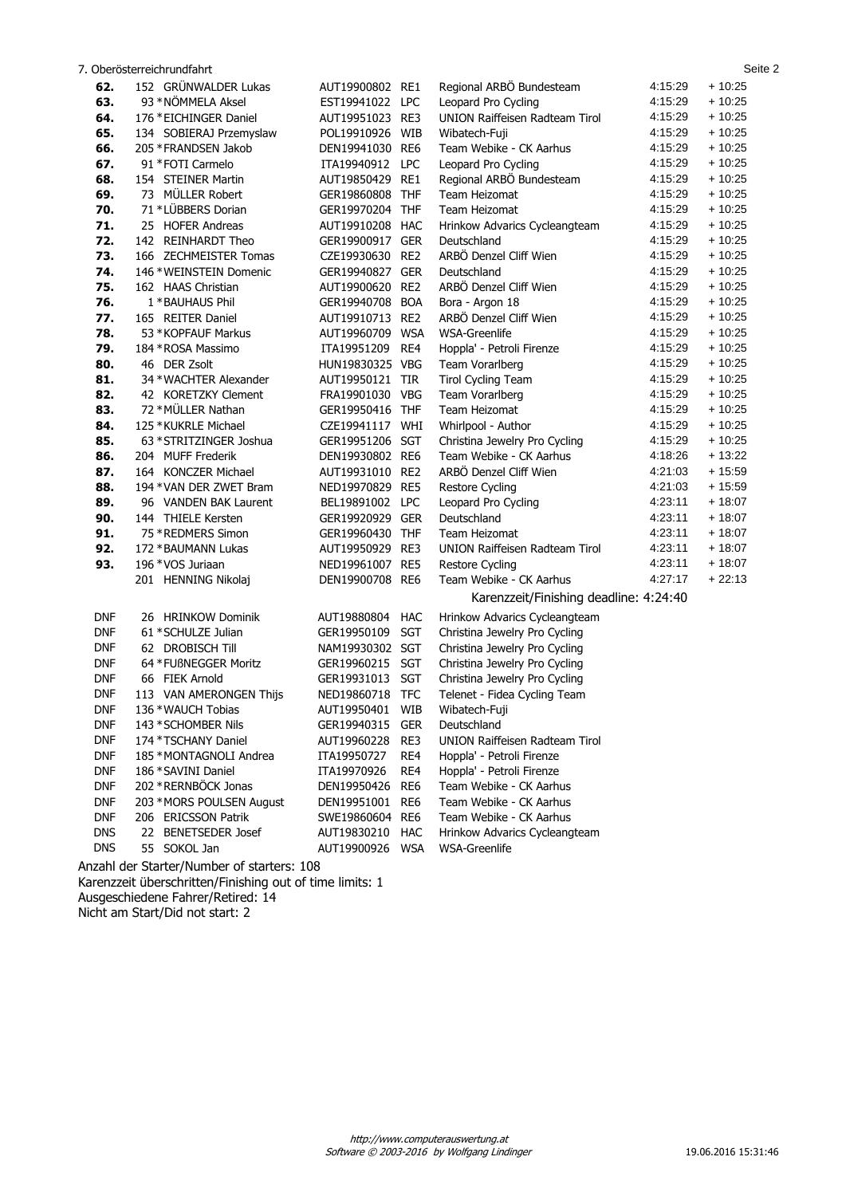|            | 7. Oberösterreichrundfahrt |                 |                 |                                        |         | Seite 2  |
|------------|----------------------------|-----------------|-----------------|----------------------------------------|---------|----------|
| 62.        | 152 GRÜNWALDER Lukas       | AUT19900802     | RE1             | Regional ARBÖ Bundesteam               | 4:15:29 | $+10:25$ |
| 63.        | 93 * NÖMMELA Aksel         | EST19941022 LPC |                 | Leopard Pro Cycling                    | 4:15:29 | $+10.25$ |
| 64.        | 176 * EICHINGER Daniel     | AUT19951023 RE3 |                 | UNION Raiffeisen Radteam Tirol         | 4:15:29 | $+10:25$ |
| 65.        | 134 SOBIERAJ Przemyslaw    | POL19910926 WIB |                 | Wibatech-Fuji                          | 4:15:29 | $+10:25$ |
| 66.        | 205 * FRANDSEN Jakob       | DEN19941030 RE6 |                 | Team Webike - CK Aarhus                | 4:15:29 | $+10:25$ |
| 67.        | 91 * FOTI Carmelo          | ITA19940912     | <b>LPC</b>      | Leopard Pro Cycling                    | 4:15:29 | $+10:25$ |
| 68.        | 154 STEINER Martin         | AUT19850429     | RE1             | Regional ARBO Bundesteam               | 4:15:29 | $+10.25$ |
| 69.        | 73 MÜLLER Robert           | GER19860808 THF |                 | Team Heizomat                          | 4:15:29 | $+10:25$ |
| 70.        | 71 *LÜBBERS Dorian         | GER19970204 THF |                 | Team Heizomat                          | 4:15:29 | $+10:25$ |
| 71.        | 25 HOFER Andreas           | AUT19910208 HAC |                 | Hrinkow Advarics Cycleangteam          | 4:15:29 | $+10:25$ |
| 72.        | 142 REINHARDT Theo         | GER19900917 GER |                 | Deutschland                            | 4:15:29 | $+10.25$ |
| 73.        | 166 ZECHMEISTER Tomas      | CZE19930630 RE2 |                 | ARBÖ Denzel Cliff Wien                 | 4:15:29 | $+10.25$ |
| 74.        | 146 * WEINSTEIN Domenic    | GER19940827 GER |                 | Deutschland                            | 4:15:29 | $+10:25$ |
| 75.        | 162 HAAS Christian         | AUT19900620     | RE <sub>2</sub> | ARBÖ Denzel Cliff Wien                 | 4:15:29 | $+10:25$ |
| 76.        | 1 * BAUHAUS Phil           | GER19940708 BOA |                 | Bora - Argon 18                        | 4:15:29 | $+10:25$ |
| 77.        | 165 REITER Daniel          | AUT19910713 RE2 |                 | ARBÖ Denzel Cliff Wien                 | 4:15:29 | $+10.25$ |
| 78.        | 53 * KOPFAUF Markus        | AUT19960709 WSA |                 | WSA-Greenlife                          | 4:15:29 | $+10.25$ |
| 79.        | 184 * ROSA Massimo         | ITA19951209     | RE4             | Hoppla' - Petroli Firenze              | 4:15:29 | $+10:25$ |
| 80.        | 46 DER Zsolt               | HUN19830325 VBG |                 | Team Vorarlberg                        | 4:15:29 | $+10:25$ |
| 81.        | 34 * WACHTER Alexander     | AUT19950121 TIR |                 | Tirol Cycling Team                     | 4:15:29 | $+10:25$ |
| 82.        | 42 KORETZKY Clement        | FRA19901030 VBG |                 | Team Vorarlberg                        | 4:15:29 | $+10:25$ |
| 83.        | 72 * MÜLLER Nathan         | GER19950416 THF |                 | Team Heizomat                          | 4:15:29 | $+10.25$ |
| 84.        | 125 * KUKRLE Michael       | CZE19941117 WHI |                 | Whirlpool - Author                     | 4:15:29 | $+10:25$ |
| 85.        | 63 * STRITZINGER Joshua    | GER19951206 SGT |                 | Christina Jewelry Pro Cycling          | 4:15:29 | $+10:25$ |
| 86.        | 204 MUFF Frederik          | DEN19930802 RE6 |                 | Team Webike - CK Aarhus                | 4:18:26 | $+13:22$ |
| 87.        | 164 KONCZER Michael        | AUT19931010 RE2 |                 | ARBÖ Denzel Cliff Wien                 | 4:21:03 | $+15:59$ |
| 88.        | 194 * VAN DER ZWET Bram    | NED19970829 RE5 |                 | Restore Cycling                        | 4:21:03 | $+15.59$ |
| 89.        | 96 VANDEN BAK Laurent      | BEL19891002 LPC |                 | Leopard Pro Cycling                    | 4:23:11 | $+18:07$ |
| 90.        | 144 THIELE Kersten         | GER19920929 GER |                 | Deutschland                            | 4.23.11 | $+18:07$ |
| 91.        | 75 * REDMERS Simon         | GER19960430 THF |                 | Team Heizomat                          | 4.23.11 | $+18:07$ |
| 92.        | 172 * BAUMANN Lukas        | AUT19950929 RE3 |                 | UNION Raiffeisen Radteam Tirol         | 4:23:11 | + 18:07  |
| 93.        | 196 * VOS Juriaan          | NED19961007 RE5 |                 | Restore Cycling                        | 4:23:11 | $+18:07$ |
|            | 201 HENNING Nikolaj        | DEN19900708 RE6 |                 | Team Webike - CK Aarhus                | 4:27:17 | $+22:13$ |
|            |                            |                 |                 | Karenzzeit/Finishing deadline: 4:24:40 |         |          |
|            |                            |                 |                 |                                        |         |          |
| <b>DNF</b> | 26 HRINKOW Dominik         | AUT19880804     | HAC             | Hrinkow Advarics Cycleangteam          |         |          |
| <b>DNF</b> | 61 * SCHULZE Julian        | GER19950109     | <b>SGT</b>      | Christina Jewelry Pro Cycling          |         |          |
| <b>DNF</b> | 62 DROBISCH Till           | NAM19930302 SGT |                 | Christina Jewelry Pro Cycling          |         |          |
| <b>DNF</b> | 64 * FUßNEGGER Moritz      | GER19960215 SGT |                 | Christina Jewelry Pro Cycling          |         |          |
| <b>DNF</b> | 66 FIEK Arnold             | GER19931013 SGT |                 | Christina Jewelry Pro Cycling          |         |          |
| <b>DNF</b> | 113 VAN AMERONGEN Thiis    | NED19860718 TFC |                 | Telenet - Fidea Cycling Team           |         |          |
| <b>DNF</b> | 136 * WAUCH Tobias         | AUT19950401 WIB |                 | Wibatech-Fuji                          |         |          |
| <b>DNF</b> | 143 * SCHOMBER Nils        | GER19940315     | GER             | Deutschland                            |         |          |
| <b>DNF</b> | 174 * TSCHANY Daniel       | AUT19960228     | RE3             | <b>UNION Raiffeisen Radteam Tirol</b>  |         |          |
| <b>DNF</b> | 185 * MONTAGNOLI Andrea    | ITA19950727     | RE4             | Hoppla' - Petroli Firenze              |         |          |
| <b>DNF</b> | 186 * SAVINI Daniel        | ITA19970926     | RE4             | Hoppla' - Petroli Firenze              |         |          |
| <b>DNF</b> | 202 * RERNBÖCK Jonas       | DEN19950426 RE6 |                 | Team Webike - CK Aarhus                |         |          |
| <b>DNF</b> | 203 * MORS POULSEN August  | DEN19951001 RE6 |                 | Team Webike - CK Aarhus                |         |          |
| <b>DNF</b> | 206 ERICSSON Patrik        | SWE19860604 RE6 |                 | Team Webike - CK Aarhus                |         |          |
| <b>DNS</b> | 22 BENETSEDER Josef        | AUT19830210     | HAC             | Hrinkow Advarics Cycleangteam          |         |          |
| <b>DNS</b> | 55 SOKOL Jan               | AUT19900926 WSA |                 | WSA-Greenlife                          |         |          |

Anzahl der Starter/Number of starters: 108 Karenzzeit überschritten/Finishing out of time limits: 1 Ausgeschiedene Fahrer/Retired: 14 Nicht am Start/Did not start: 2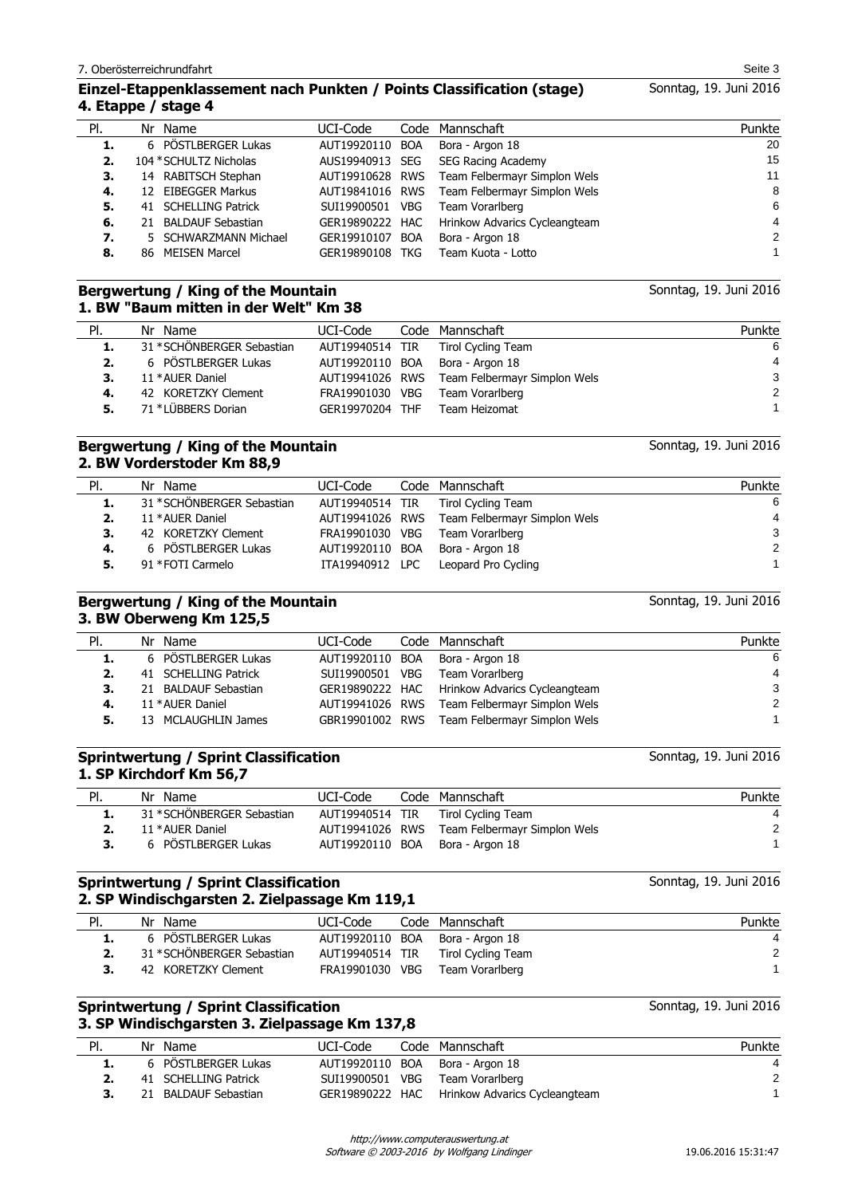## **Einzel-Etappenklassement nach Punkten / Points Classification (stage) 4. Etappe / stage 4**

| PI. | Nr Name                | UCI-Code        | Code Mannschaft                              | Punkte |
|-----|------------------------|-----------------|----------------------------------------------|--------|
| 1.  | 6 PÖSTLBERGER Lukas    | AUT19920110 BOA | Bora - Argon 18                              | 20     |
|     | 104 * SCHULTZ Nicholas | AUS19940913 SEG | <b>SEG Racing Academy</b>                    | 15     |
| З.  | 14 RABITSCH Stephan    |                 | AUT19910628 RWS Team Felbermayr Simplon Wels | 11     |
| 4.  | 12 EIBEGGER Markus     | AUT19841016 RWS | Team Felbermayr Simplon Wels                 | 8      |
| 5.  | 41 SCHELLING Patrick   | SUI19900501 VBG | Team Vorarlberg                              | 6      |
| 6.  | 21 BALDAUF Sebastian   | GER19890222 HAC | Hrinkow Advarics Cycleangteam                | 4      |
| 7.  | 5 SCHWARZMANN Michael  | GER19910107 BOA | Bora - Argon 18                              | 2      |
| 8.  | 86 MEISEN Marcel       | GER19890108 TKG | Team Kuota - Lotto                           |        |
|     |                        |                 |                                              |        |

## **Bergwertung / King of the Mountain 1. BW "Baum mitten in der Welt" Km 38**

| PI. | Nr Name                    | UCI-Code        | Code Mannschaft                              | Punkte         |
|-----|----------------------------|-----------------|----------------------------------------------|----------------|
| 1.  | 31 * SCHÖNBERGER Sebastian |                 | AUT19940514 TIR Tirol Cycling Team           | 6              |
| 2.  | 6 PÖSTLBERGER Lukas        |                 | AUT19920110 BOA Bora - Argon 18              | $\overline{4}$ |
| 3.  | 11 * AUER Daniel           |                 | AUT19941026 RWS Team Felbermayr Simplon Wels | 3              |
| 4.  | 42 KORETZKY Clement        | FRA19901030 VBG | Team Vorarlberg                              | 2              |
| 5.  | 71 *LÜBBERS Dorian         | GER19970204 THF | Team Heizomat                                |                |

## **Bergwertung / King of the Mountain 2. BW Vorderstoder Km 88,9**

| PI. | Nr Name                    | UCI-Code        | Code Mannschaft                              | Punkte |
|-----|----------------------------|-----------------|----------------------------------------------|--------|
| 1.  | 31 * SCHÖNBERGER Sebastian |                 | AUT19940514 TIR Tirol Cycling Team           | 6      |
| 2.  | 11 * AUER Daniel           |                 | AUT19941026 RWS Team Felbermayr Simplon Wels | 4      |
|     | 42 KORETZKY Clement        | FRA19901030 VBG | Team Vorarlberg                              | 3      |
| 4.  | 6 PÖSTLBERGER Lukas        |                 | AUT19920110 BOA Bora - Argon 18              | 2      |
|     | 91 * FOTI Carmelo          |                 | ITA19940912 LPC Leopard Pro Cycling          |        |

### **Bergwertung / King of the Mountain 3. BW Oberweng Km 125,5**

| PI. | Nr Name              | UCI-Code        | Code Mannschaft                               | Punkte        |
|-----|----------------------|-----------------|-----------------------------------------------|---------------|
| 1.  | 6 PÖSTLBERGER Lukas  |                 | AUT19920110 BOA Bora - Argon 18               | -6            |
| 2.  | 41 SCHELLING Patrick | SUI19900501 VBG | Team Vorarlberg                               | 4             |
| з.  | 21 BALDAUF Sebastian |                 | GER19890222 HAC Hrinkow Advarics Cycleangteam | 3             |
| 4.  | 11 * AUER Daniel     |                 | AUT19941026 RWS Team Felbermayr Simplon Wels  | $\mathcal{P}$ |
| 5.  | 13 MCLAUGHLIN James  |                 | GBR19901002 RWS Team Felbermayr Simplon Wels  |               |

## **Sprintwertung / Sprint Classification 1. SP Kirchdorf Km 56,7**

| PI. | Nr Name                    | UCI-Code | Code Mannschaft                              | Punkte |
|-----|----------------------------|----------|----------------------------------------------|--------|
|     | 31 * SCHÖNBERGER Sebastian |          | AUT19940514 TIR Tirol Cycling Team           |        |
|     | 11 * AUER Daniel           |          | AUT19941026 RWS Team Felbermayr Simplon Wels | 2      |
|     | 6 PÖSTLBERGER Lukas        |          | AUT19920110 BOA Bora - Argon 18              |        |
|     |                            |          |                                              |        |

## **Sprintwertung / Sprint Classification 2. SP Windischgarsten 2. Zielpassage Km 119,1**

| PI. | Nr Name                    | UCI-Code        | Code Mannschaft                 | Punkte |
|-----|----------------------------|-----------------|---------------------------------|--------|
|     | 6 PÖSTLBERGER Lukas        | AUT19920110 BOA | Bora - Argon 18                 |        |
|     | 31 * SCHÖNBERGER Sebastian | AUT19940514 TIR | Tirol Cycling Team              | -2     |
|     | 42 KORETZKY Clement        |                 | FRA19901030 VBG Team Vorarlberg |        |
|     |                            |                 |                                 |        |

## **Sprintwertung / Sprint Classification 3. SP Windischgarsten 3. Zielpassage Km 137,8**

| PI. | Nr Name              | UCI-Code | Code Mannschaft                               | Punkte |
|-----|----------------------|----------|-----------------------------------------------|--------|
|     | 6 PÖSTLBERGER Lukas  |          | AUT19920110 BOA Bora - Argon 18               |        |
|     | 41 SCHELLING Patrick |          | SUI19900501 VBG Team Vorarlberg               | -2     |
| 3.  | 21 BALDAUF Sebastian |          | GER19890222 HAC Hrinkow Advarics Cycleangteam |        |
|     |                      |          |                                               |        |

Software © 2003-2016 by Wolfgang Lindinger

Sonntag, 19. Juni 2016

Sonntag, 19. Juni 2016

Sonntag, 19. Juni 2016

Sonntag, 19. Juni 2016

Sonntag, 19. Juni 2016

Sonntag, 19. Juni 2016

Sonntag, 19. Juni 2016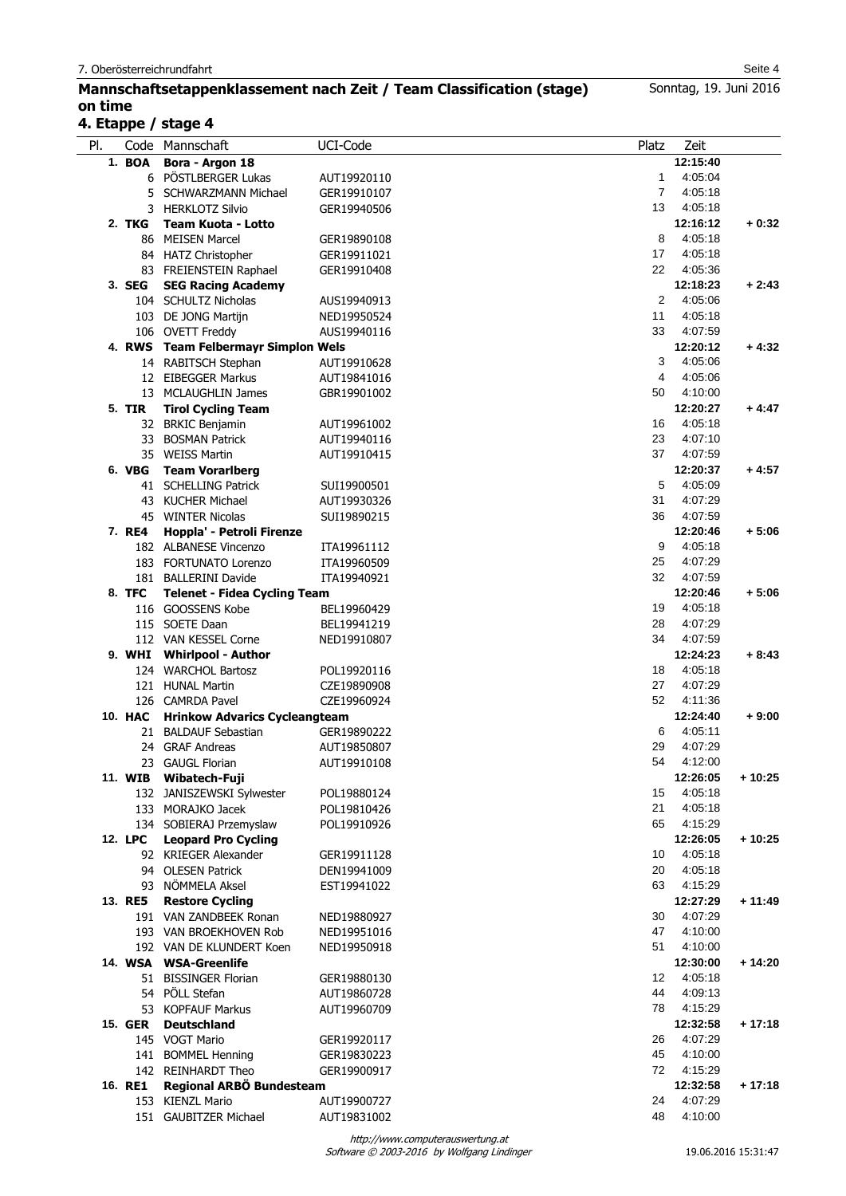## **Mannschaftsetappenklassement nach Zeit / Team Classification (stage) on time**

# **4. Etappe / stage 4**

| PI. |                | Code Mannschaft                      | UCI-Code    | Platz          | Zeit     |          |
|-----|----------------|--------------------------------------|-------------|----------------|----------|----------|
|     | 1. BOA         | Bora - Argon 18                      |             |                | 12:15:40 |          |
|     |                | 6 PÖSTLBERGER Lukas                  | AUT19920110 | $\mathbf{1}$   | 4:05:04  |          |
|     |                | 5 SCHWARZMANN Michael                | GER19910107 | $\overline{7}$ | 4:05:18  |          |
|     |                | 3 HERKLOTZ Silvio                    | GER19940506 | 13             | 4:05:18  |          |
|     | 2. TKG         | <b>Team Kuota - Lotto</b>            |             |                | 12:16:12 | $+0.32$  |
|     |                | 86 MEISEN Marcel                     | GER19890108 | 8              | 4:05:18  |          |
|     |                | 84 HATZ Christopher                  | GER19911021 | 17             | 4:05:18  |          |
|     |                | 83 FREIENSTEIN Raphael               | GER19910408 | 22             | 4:05:36  |          |
|     | 3. SEG         | <b>SEG Racing Academy</b>            |             |                | 12:18:23 | $+2:43$  |
|     |                | 104 SCHULTZ Nicholas                 | AUS19940913 | 2              | 4:05:06  |          |
|     |                | 103 DE JONG Martijn                  | NED19950524 | 11             | 4:05:18  |          |
|     |                | 106 OVETT Freddy                     | AUS19940116 | 33             | 4:07:59  |          |
|     |                |                                      |             |                | 12:20:12 | $+4:32$  |
|     |                | 4. RWS Team Felbermayr Simplon Wels  |             |                |          |          |
|     |                | 14 RABITSCH Stephan                  | AUT19910628 | 3              | 4:05:06  |          |
|     |                | 12 EIBEGGER Markus                   | AUT19841016 | 4              | 4:05:06  |          |
|     |                | 13 MCLAUGHLIN James                  | GBR19901002 | 50             | 4:10:00  |          |
|     | 5. TIR         | <b>Tirol Cycling Team</b>            |             |                | 12:20:27 | $+4:47$  |
|     |                | 32 BRKIC Benjamin                    | AUT19961002 | 16             | 4:05:18  |          |
|     |                | 33 BOSMAN Patrick                    | AUT19940116 | 23             | 4:07:10  |          |
|     |                | 35 WEISS Martin                      | AUT19910415 | 37             | 4:07:59  |          |
|     | 6. VBG         | <b>Team Vorarlberg</b>               |             |                | 12:20:37 | $+4:57$  |
|     |                | 41 SCHELLING Patrick                 | SUI19900501 | 5              | 4:05:09  |          |
|     |                | 43 KUCHER Michael                    | AUT19930326 | 31             | 4:07:29  |          |
|     |                | 45 WINTER Nicolas                    | SUI19890215 | 36             | 4:07:59  |          |
|     | 7. RE4         | Hoppla' - Petroli Firenze            |             |                | 12:20:46 | $+5:06$  |
|     |                | 182 ALBANESE Vincenzo                | ITA19961112 | 9              | 4:05:18  |          |
|     |                | 183 FORTUNATO Lorenzo                | ITA19960509 | 25             | 4:07:29  |          |
|     |                |                                      |             | 32             | 4:07:59  |          |
|     |                | 181 BALLERINI Davide                 | ITA19940921 |                |          |          |
|     | 8. TFC         | <b>Telenet - Fidea Cycling Team</b>  |             |                | 12:20:46 | $+5:06$  |
|     |                | 116 GOOSSENS Kobe                    | BEL19960429 | 19             | 4:05:18  |          |
|     |                | 115 SOETE Daan                       | BEL19941219 | 28             | 4:07:29  |          |
|     |                | 112 VAN KESSEL Corne                 | NED19910807 | 34             | 4:07:59  |          |
|     |                | 9. WHI Whirlpool - Author            |             |                | 12:24:23 | $+8:43$  |
|     |                | 124 WARCHOL Bartosz                  | POL19920116 | 18             | 4:05:18  |          |
|     |                | 121 HUNAL Martin                     | CZE19890908 | 27             | 4:07:29  |          |
|     |                | 126 CAMRDA Pavel                     | CZE19960924 | 52             | 4:11:36  |          |
|     | <b>10. HAC</b> | <b>Hrinkow Advarics Cycleangteam</b> |             |                | 12:24:40 | $+9:00$  |
|     |                | 21 BALDAUF Sebastian                 | GER19890222 | 6              | 4:05:11  |          |
|     |                | 24 GRAF Andreas                      | AUT19850807 | 29             | 4:07:29  |          |
|     |                | 23 GAUGL Florian                     | AUT19910108 | 54             | 4:12:00  |          |
|     |                | 11. WIB Wibatech-Fuji                |             |                | 12:26:05 | $+10:25$ |
|     |                | 132 JANISZEWSKI Sylwester            | POL19880124 | 15             | 4:05:18  |          |
|     |                | 133 MORAJKO Jacek                    | POL19810426 | 21             | 4:05:18  |          |
|     |                | 134 SOBIERAJ Przemyslaw              | POL19910926 | 65             | 4:15:29  |          |
|     | 12. LPC        | <b>Leopard Pro Cycling</b>           |             |                | 12:26:05 | $+10:25$ |
|     |                |                                      |             |                | 4:05:18  |          |
|     |                | 92 KRIEGER Alexander                 | GER19911128 | 10             |          |          |
|     |                | 94 OLESEN Patrick                    | DEN19941009 | 20             | 4:05:18  |          |
|     |                | 93 NÖMMELA Aksel                     | EST19941022 | 63             | 4:15:29  |          |
|     | 13. RE5        | <b>Restore Cycling</b>               |             |                | 12:27:29 | $+11:49$ |
|     |                | 191 VAN ZANDBEEK Ronan               | NED19880927 | 30             | 4:07:29  |          |
|     |                | 193 VAN BROEKHOVEN Rob               | NED19951016 | 47             | 4:10:00  |          |
|     |                | 192 VAN DE KLUNDERT Koen             | NED19950918 | 51             | 4:10:00  |          |
|     |                | 14. WSA WSA-Greenlife                |             |                | 12:30:00 | $+14:20$ |
|     |                | 51 BISSINGER Florian                 | GER19880130 | 12             | 4:05:18  |          |
|     |                | 54 PÖLL Stefan                       | AUT19860728 | 44             | 4:09:13  |          |
|     |                | 53 KOPFAUF Markus                    | AUT19960709 | 78             | 4:15:29  |          |
|     | <b>15. GER</b> | <b>Deutschland</b>                   |             |                | 12:32:58 | $+17:18$ |
|     |                | 145 VOGT Mario                       | GER19920117 | 26             | 4:07:29  |          |
|     |                | 141 BOMMEL Henning                   | GER19830223 | 45             | 4:10:00  |          |
|     |                | 142 REINHARDT Theo                   | GER19900917 | 72             | 4:15:29  |          |
|     | 16. RE1        | Regional ARBÖ Bundesteam             |             |                | 12:32:58 | $+17:18$ |
|     |                | 153 KIENZL Mario                     |             | 24             | 4:07:29  |          |
|     |                |                                      | AUT19900727 |                |          |          |
|     |                | 151 GAUBITZER Michael                | AUT19831002 | 48             | 4:10:00  |          |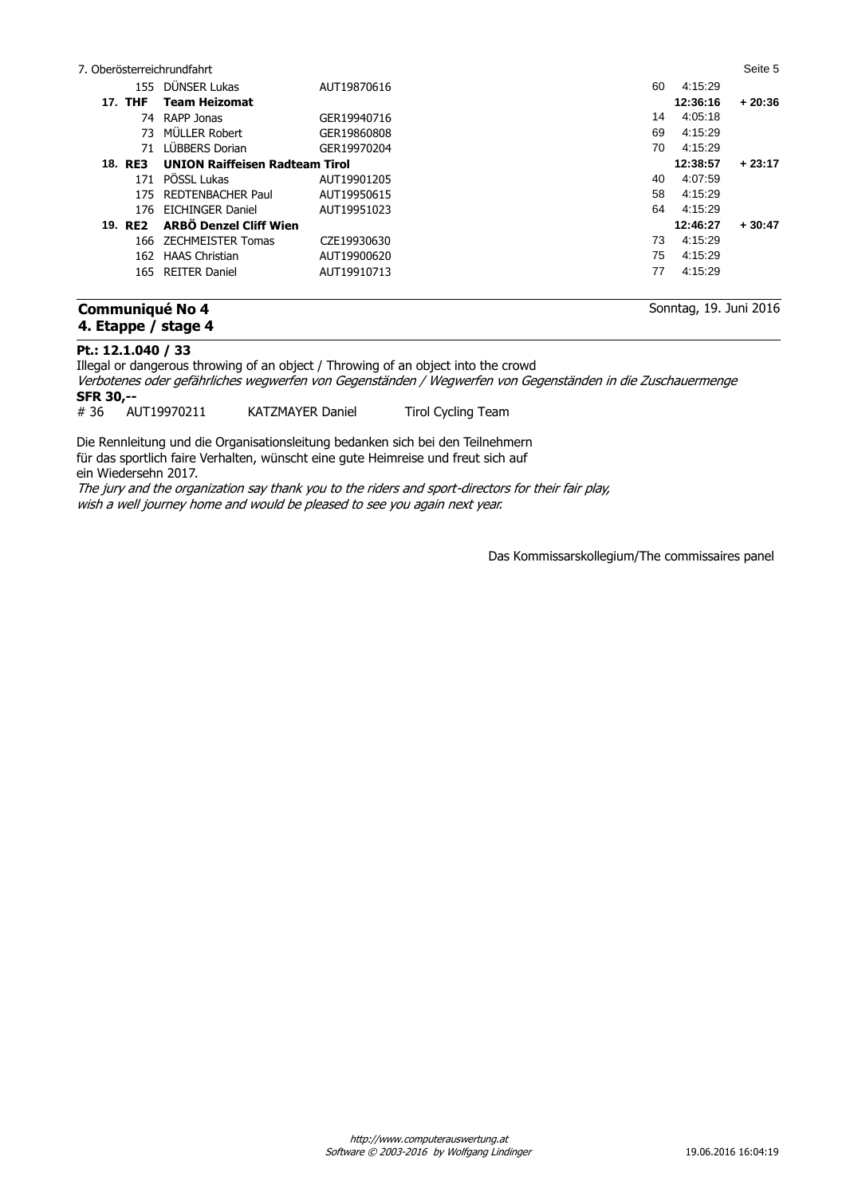|         | 7. Oberösterreichrundfahrt            |             |    |          | Seite 5  |
|---------|---------------------------------------|-------------|----|----------|----------|
|         | 155 DÜNSER Lukas                      | AUT19870616 | 60 | 4:15:29  |          |
| 17. THF | <b>Team Heizomat</b>                  |             |    | 12:36:16 | $+20:36$ |
|         | 74 RAPP Jonas                         | GER19940716 | 14 | 4:05:18  |          |
|         | 73 MÜLLER Robert                      | GER19860808 | 69 | 4:15:29  |          |
| 71      | LÜBBERS Dorian                        | GER19970204 | 70 | 4:15:29  |          |
| 18. RE3 | <b>UNION Raiffeisen Radteam Tirol</b> |             |    | 12:38:57 | $+23:17$ |
| 171     | PÖSSL Lukas                           | AUT19901205 | 40 | 4:07:59  |          |
|         | 175 REDTENBACHER Paul                 | AUT19950615 | 58 | 4:15:29  |          |
|         | 176 EICHINGER Daniel                  | AUT19951023 | 64 | 4:15:29  |          |
| 19. RE2 | <b>ARBÖ Denzel Cliff Wien</b>         |             |    | 12:46:27 | $+30:47$ |
|         | 166 ZECHMEISTER Tomas                 | CZE19930630 | 73 | 4:15:29  |          |
| 162     | <b>HAAS Christian</b>                 | AUT19900620 | 75 | 4:15:29  |          |
|         | 165 REITER Daniel                     | AUT19910713 | 77 | 4:15:29  |          |
|         |                                       |             |    |          |          |

## **Communiqué No 4 4. Etappe / stage 4**

Sonntag, 19. Juni 2016

## **Pt.: 12.1.040 / 33**

Illegal or dangerous throwing of an object / Throwing of an object into the crowd Verbotenes oder gefährliches wegwerfen von Gegenständen / Wegwerfen von Gegenständen in die Zuschauermenge **SFR 30,--**<br># 36 AUT19970211 KATZMAYER Daniel Tirol Cycling Team

Die Rennleitung und die Organisationsleitung bedanken sich bei den Teilnehmern für das sportlich faire Verhalten, wünscht eine gute Heimreise und freut sich auf ein Wiedersehn 2017.

The jury and the organization say thank you to the riders and sport-directors for their fair play, wish a well journey home and would be pleased to see you again next year.

Das Kommissarskollegium/The commissaires panel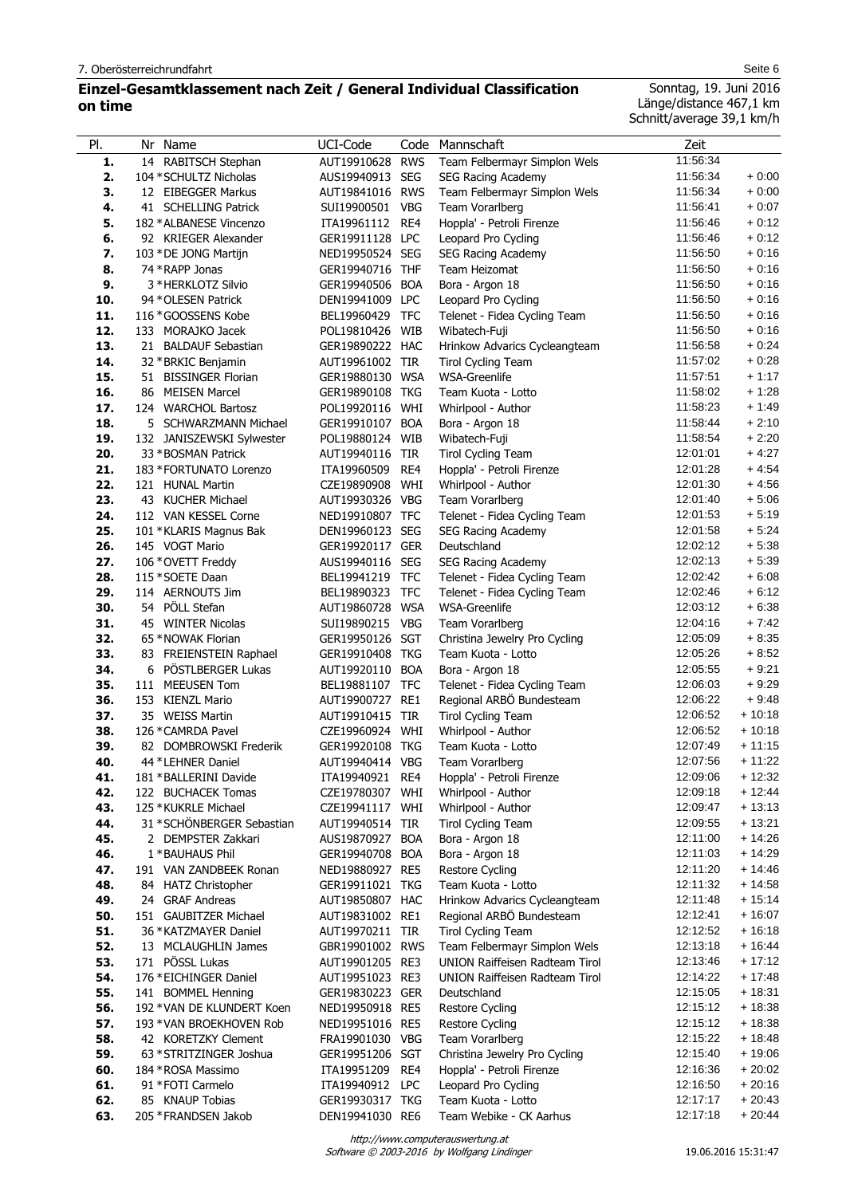## **Einzel-Gesamtklassement nach Zeit / General Individual Classification on time**

Sonntag, 19. Juni 2016

Länge/distance 467,1 km Schnitt/average 39,1 km/h

| PI.        | Nr Name                                         |                            | UCI-Code                           |            |                                                                         | Zeit                 |                      |
|------------|-------------------------------------------------|----------------------------|------------------------------------|------------|-------------------------------------------------------------------------|----------------------|----------------------|
|            |                                                 |                            | AUT19910628                        | <b>RWS</b> | Code Mannschaft                                                         | 11.56:34             |                      |
| 1.<br>2.   | 14 RABITSCH Stephan<br>104 * SCHULTZ Nicholas   |                            |                                    | <b>SEG</b> | Team Felbermayr Simplon Wels                                            | 11.56:34             | $+0:00$              |
| 3.         |                                                 |                            | AUS19940913<br>AUT19841016 RWS     |            | SEG Racing Academy                                                      | 11:56:34             | $+0:00$              |
| 4.         | 12 EIBEGGER Markus                              |                            |                                    | <b>VBG</b> | Team Felbermayr Simplon Wels<br>Team Vorarlberg                         | 11:56:41             | $+0:07$              |
| 5.         | 41 SCHELLING Patrick<br>182 * ALBANESE Vincenzo |                            | SUI19900501                        | RE4        |                                                                         | 11:56:46             | $+0:12$              |
| 6.         | 92 KRIEGER Alexander                            |                            | ITA19961112<br>GER19911128 LPC     |            | Hoppla' - Petroli Firenze<br>Leopard Pro Cycling                        | 11.56.46             | $+0:12$              |
| 7.         | 103 * DE JONG Martijn                           |                            | NED19950524 SEG                    |            |                                                                         | 11:56:50             | $+0.16$              |
| 8.         | 74 * RAPP Jonas                                 |                            | GER19940716 THF                    |            | SEG Racing Academy<br>Team Heizomat                                     | 11:56:50             | $+0.16$              |
| 9.         | 3 * HERKLOTZ Silvio                             |                            | GER19940506                        | <b>BOA</b> | Bora - Argon 18                                                         | 11:56:50             | $+0:16$              |
| 10.        | 94 * OLESEN Patrick                             |                            | DEN19941009 LPC                    |            | Leopard Pro Cycling                                                     | 11:56:50             | $+0:16$              |
| 11.        | 116*GOOSSENS Kobe                               |                            | BEL19960429                        | <b>TFC</b> | Telenet - Fidea Cycling Team                                            | 11:56:50             | $+0:16$              |
| 12.        | 133 MORAJKO Jacek                               |                            | POL19810426                        | <b>WIB</b> | Wibatech-Fuji                                                           | 11:56:50             | $+0:16$              |
| 13.        | 21 BALDAUF Sebastian                            |                            | GER19890222 HAC                    |            | Hrinkow Advarics Cycleangteam                                           | 11:56:58             | $+0.24$              |
| 14.        | 32 * BRKIC Benjamin                             |                            | AUT19961002 TIR                    |            | <b>Tirol Cycling Team</b>                                               | 11:57:02             | $+0.28$              |
| 15.        | 51 BISSINGER Florian                            |                            | GER19880130 WSA                    |            | WSA-Greenlife                                                           | 11:57:51             | $+1:17$              |
| 16.        | 86 MEISEN Marcel                                |                            | GER19890108 TKG                    |            | Team Kuota - Lotto                                                      | 11:58:02             | $+1:28$              |
| 17.        | 124 WARCHOL Bartosz                             |                            | POL19920116 WHI                    |            | Whirlpool - Author                                                      | 11:58:23             | $+1:49$              |
| 18.        |                                                 | 5 SCHWARZMANN Michael      | GER19910107                        | <b>BOA</b> | Bora - Argon 18                                                         | 11:58:44             | $+2:10$              |
| 19.        |                                                 | 132 JANISZEWSKI Sylwester  | POL19880124                        | WIB        | Wibatech-Fuji                                                           | 11:58:54             | $+2:20$              |
| 20.        | 33 * BOSMAN Patrick                             |                            | AUT19940116                        | TIR        | <b>Tirol Cycling Team</b>                                               | 12:01:01             | $+4.27$              |
| 21.        | 183 * FORTUNATO Lorenzo                         |                            | ITA19960509                        | RE4        | Hoppla' - Petroli Firenze                                               | 12:01:28             | $+4.54$              |
| 22.        | 121 HUNAL Martin                                |                            | CZE19890908                        | WHI        | Whirlpool - Author                                                      | 12:01:30             | $+4.56$              |
| 23.        | 43 KUCHER Michael                               |                            | AUT19930326 VBG                    |            | Team Vorarlberg                                                         | 12:01:40             | $+5:06$              |
| 24.        | 112 VAN KESSEL Corne                            |                            | NED19910807 TFC                    |            | Telenet - Fidea Cycling Team                                            | 12:01:53             | $+5:19$              |
| 25.        | 101 *KLARIS Magnus Bak                          |                            | DEN19960123 SEG                    |            | SEG Racing Academy                                                      | 12:01:58             | $+5:24$              |
| 26.        | 145 VOGT Mario                                  |                            | GER19920117 GER                    |            | Deutschland                                                             | 12:02:12             | $+5:38$              |
| 27.        | 106 * OVETT Freddy                              |                            | AUS19940116                        | <b>SEG</b> | SEG Racing Academy                                                      | 12:02:13             | $+5:39$              |
| 28.        | 115 * SOETE Daan                                |                            | BEL19941219 TFC                    |            | Telenet - Fidea Cycling Team                                            | 12:02:42             | $+6:08$              |
| 29.        | 114 AERNOUTS Jim                                |                            | BEL19890323 TFC                    |            | Telenet - Fidea Cycling Team                                            | 12:02:46             | $+6:12$              |
| 30.        | 54 PÖLL Stefan                                  |                            | AUT19860728 WSA                    |            | <b>WSA-Greenlife</b>                                                    | 12:03:12             | $+6:38$              |
| 31.        | 45 WINTER Nicolas                               |                            | SUI19890215                        | <b>VBG</b> | Team Vorarlberg                                                         | 12:04:16             | $+7:42$              |
| 32.        | 65 * NOWAK Florian                              |                            | GER19950126 SGT                    |            | Christina Jewelry Pro Cycling                                           | 12:05:09             | $+8:35$              |
| 33.        |                                                 | 83 FREIENSTEIN Raphael     | GER19910408 TKG                    |            | Team Kuota - Lotto                                                      | 12:05:26             | $+8:52$              |
| 34.        | 6                                               | PÖSTLBERGER Lukas          | AUT19920110                        | <b>BOA</b> | Bora - Argon 18                                                         | 12:05:55             | $+9:21$              |
| 35.        | 111 MEEUSEN Tom                                 |                            | BEL19881107 TFC                    |            | Telenet - Fidea Cycling Team                                            | 12:06:03             | $+9:29$              |
| 36.        | 153 KIENZL Mario                                |                            | AUT19900727 RE1                    |            | Regional ARBÖ Bundesteam                                                | 12:06:22             | $+9:48$              |
| 37.        | 35 WEISS Martin                                 |                            | AUT19910415 TIR                    |            | <b>Tirol Cycling Team</b>                                               | 12:06:52             | $+10:18$             |
| 38.        | 126 * CAMRDA Pavel                              |                            | CZE19960924                        | WHI        | Whirlpool - Author                                                      | 12:06:52             | $+10:18$             |
| 39.        |                                                 | 82 DOMBROWSKI Frederik     | GER19920108 TKG                    |            | Team Kuota - Lotto                                                      | 12:07:49             | $+11:15$             |
| 40.        | 44 * LEHNER Daniel                              |                            | AUT19940414 VBG                    |            | Team Vorarlberg                                                         | 12:07:56             | $+11:22$             |
| 41.        | 181 * BALLERINI Davide                          |                            | ITA19940921                        | RE4        | Hoppla' - Petroli Firenze                                               | 12:09:06             | $+12:32$             |
| 42.        | 122 BUCHACEK Tomas                              |                            | CZE19780307 WHI                    |            | Whirlpool - Author                                                      | 12:09:18             | $+12:44$             |
| 43.        | 125 * KUKRLE Michael                            |                            | CZE19941117 WHI                    |            | Whirlpool - Author                                                      | 12:09:47             | $+13:13$             |
| 44.        |                                                 | 31 * SCHÖNBERGER Sebastian | AUT19940514 TIR                    |            | <b>Tirol Cycling Team</b>                                               | 12:09:55             | $+13:21$             |
| 45.        | 2 DEMPSTER Zakkari                              |                            | AUS19870927 BOA                    |            | Bora - Argon 18                                                         | 12:11:00             | $+14:26$             |
| 46.        | 1 * BAUHAUS Phil                                |                            | GER19940708 BOA                    |            | Bora - Argon 18                                                         | 12:11:03             | $+14:29$             |
| 47.        |                                                 | 191 VAN ZANDBEEK Ronan     | NED19880927 RE5                    |            | Restore Cycling                                                         | 12:11:20             | $+14:46$             |
| 48.        | 84 HATZ Christopher                             |                            | GER19911021 TKG                    |            | Team Kuota - Lotto                                                      | 12:11:32             | $+14:58$             |
| 49.        | 24 GRAF Andreas                                 |                            | AUT19850807 HAC                    |            | Hrinkow Advarics Cycleangteam                                           | 12:11:48             | $+15:14$             |
| 50.        | 151 GAUBITZER Michael                           |                            | AUT19831002 RE1                    |            | Regional ARBO Bundesteam                                                | 12:12:41             | $+16:07$             |
| 51.        | 36 * KATZMAYER Daniel                           |                            | AUT19970211 TIR                    |            | <b>Tirol Cycling Team</b>                                               | 12:12:52<br>12:13:18 | $+16:18$<br>$+16:44$ |
| 52.        | 13 MCLAUGHLIN James<br>171 PÖSSL Lukas          |                            | GBR19901002 RWS<br>AUT19901205 RE3 |            | Team Felbermayr Simplon Wels                                            | 12:13:46             | $+17:12$             |
| 53.        |                                                 |                            |                                    |            | UNION Raiffeisen Radteam Tirol<br><b>UNION Raiffeisen Radteam Tirol</b> | 12:14:22             | $+17:48$             |
| 54.<br>55. | 176 * EICHINGER Daniel<br>141 BOMMEL Henning    |                            | AUT19951023 RE3<br>GER19830223 GER |            | Deutschland                                                             | 12:15:05             | $+18:31$             |
| 56.        |                                                 | 192 * VAN DE KLUNDERT Koen | NED19950918 RE5                    |            | Restore Cycling                                                         | 12:15:12             | $+18:38$             |
| 57.        |                                                 | 193 * VAN BROEKHOVEN Rob   | NED19951016 RE5                    |            | Restore Cycling                                                         | 12:15:12             | $+18:38$             |
| 58.        | 42 KORETZKY Clement                             |                            | FRA19901030 VBG                    |            | Team Vorarlberg                                                         | 12:15:22             | $+18:48$             |
| 59.        |                                                 | 63 * STRITZINGER Joshua    | GER19951206 SGT                    |            | Christina Jewelry Pro Cycling                                           | 12:15:40             | $+19:06$             |
| 60.        | 184 * ROSA Massimo                              |                            | ITA19951209                        | RE4        | Hoppla' - Petroli Firenze                                               | 12:16:36             | $+20:02$             |
| 61.        | 91 * FOTI Carmelo                               |                            | ITA19940912 LPC                    |            | Leopard Pro Cycling                                                     | 12:16:50             | $+20:16$             |
| 62.        | 85 KNAUP Tobias                                 |                            | GER19930317 TKG                    |            | Team Kuota - Lotto                                                      | 12:17:17             | $+20:43$             |
| 63.        | 205 * FRANDSEN Jakob                            |                            | DEN19941030 RE6                    |            | Team Webike - CK Aarhus                                                 | 12:17:18             | $+20:44$             |

Software © 2003-2016 by Wolfgang Lindinger http://www.computerauswertung.at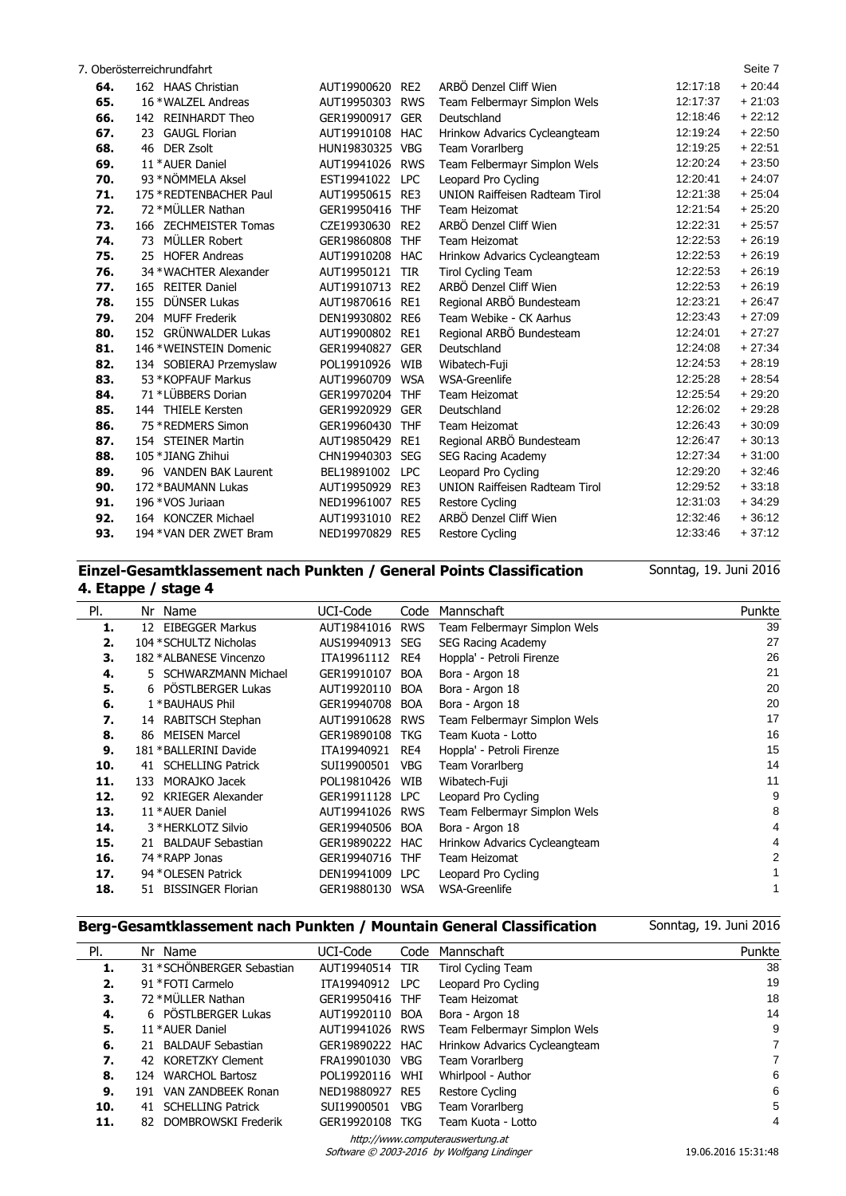7. Oberösterreichrundfahrt Seite 7

l,

| 64. | 162 HAAS Christian          | AUT19900620     | RE <sub>2</sub> | ARBO Denzel Cliff Wien                | 12:17:18 | $+20:44$ |
|-----|-----------------------------|-----------------|-----------------|---------------------------------------|----------|----------|
| 65. | 16 * WALZEL Andreas         | AUT19950303     | <b>RWS</b>      | Team Felbermayr Simplon Wels          | 12:17:37 | $+21:03$ |
| 66. | 142 REINHARDT Theo          | GER19900917     | <b>GER</b>      | Deutschland                           | 12:18:46 | $+22:12$ |
| 67. | <b>GAUGL Florian</b><br>23  | AUT19910108     | <b>HAC</b>      | Hrinkow Advarics Cycleangteam         | 12:19:24 | $+22:50$ |
| 68. | <b>DER Zsolt</b><br>46      | HUN19830325 VBG |                 | Team Vorarlberg                       | 12:19:25 | $+22:51$ |
| 69. | 11 * AUER Daniel            | AUT19941026 RWS |                 | Team Felbermayr Simplon Wels          | 12:20:24 | $+23:50$ |
| 70. | 93 * NÖMMELA Aksel          | EST19941022     | <b>LPC</b>      | Leopard Pro Cycling                   | 12:20:41 | $+24:07$ |
| 71. | 175 * REDTENBACHER Paul     | AUT19950615 RE3 |                 | <b>UNION Raiffeisen Radteam Tirol</b> | 12:21:38 | $+25:04$ |
| 72. | 72 * MÜLLER Nathan          | GER19950416     | <b>THF</b>      | Team Heizomat                         | 12:21:54 | $+25:20$ |
| 73. | 166 ZECHMEISTER Tomas       | CZE19930630     | RE <sub>2</sub> | ARBÖ Denzel Cliff Wien                | 12:22:31 | $+25.57$ |
| 74. | MÜLLER Robert<br>73         | GER19860808     | <b>THF</b>      | Team Heizomat                         | 12:22:53 | $+26:19$ |
| 75. | 25 HOFER Andreas            | AUT19910208     | <b>HAC</b>      | Hrinkow Advarics Cycleangteam         | 12:22:53 | $+26:19$ |
| 76. | 34 * WACHTER Alexander      | AUT19950121     | <b>TIR</b>      | <b>Tirol Cycling Team</b>             | 12:22:53 | $+26:19$ |
| 77. | <b>REITER Daniel</b><br>165 | AUT19910713     | RE <sub>2</sub> | ARBÖ Denzel Cliff Wien                | 12:22:53 | $+26:19$ |
| 78. | DÜNSER Lukas<br>155         | AUT19870616     | RE1             | Regional ARBO Bundesteam              | 12:23:21 | $+26:47$ |
| 79. | 204 MUFF Frederik           | DEN19930802 RE6 |                 | Team Webike - CK Aarhus               | 12:23:43 | $+27:09$ |
| 80. | 152 GRÜNWALDER Lukas        | AUT19900802     | RE1             | Regional ARBÖ Bundesteam              | 12:24:01 | $+27:27$ |
| 81. | 146 * WEINSTEIN Domenic     | GER19940827     | <b>GER</b>      | Deutschland                           | 12:24:08 | $+27:34$ |
| 82. | 134 SOBIERAJ Przemyslaw     | POL19910926     | WIB             | Wibatech-Fuji                         | 12:24:53 | $+28:19$ |
| 83. | 53 * KOPFAUF Markus         | AUT19960709     | <b>WSA</b>      | WSA-Greenlife                         | 12:25:28 | $+28.54$ |
| 84. | 71 *LÜBBERS Dorian          | GER19970204     | <b>THF</b>      | Team Heizomat                         | 12:25:54 | $+29:20$ |
| 85. | 144 THIELE Kersten          | GER19920929     | <b>GER</b>      | Deutschland                           | 12:26:02 | $+29:28$ |
| 86. | 75 * REDMERS Simon          | GER19960430     | <b>THF</b>      | Team Heizomat                         | 12:26:43 | $+30:09$ |
| 87. | 154 STEINER Martin          | AUT19850429     | RE1             | Regional ARBÖ Bundesteam              | 12:26:47 | $+30:13$ |
| 88. | 105 * JIANG Zhihui          | CHN19940303     | <b>SEG</b>      | <b>SEG Racing Academy</b>             | 12:27:34 | $+31:00$ |
| 89. | 96 VANDEN BAK Laurent       | BEL19891002     | <b>LPC</b>      | Leopard Pro Cycling                   | 12:29:20 | $+32:46$ |
| 90. | 172 * BAUMANN Lukas         | AUT19950929     | RE3             | <b>UNION Raiffeisen Radteam Tirol</b> | 12:29:52 | $+33:18$ |
| 91. | 196 * VOS Juriaan           | NED19961007     | RE5             | <b>Restore Cycling</b>                | 12:31:03 | $+34:29$ |
| 92. | 164 KONCZER Michael         | AUT19931010     | RE <sub>2</sub> | ARBÖ Denzel Cliff Wien                | 12:32:46 | $+36:12$ |
| 93. | 194 * VAN DER ZWET Bram     | NED19970829 RE5 |                 | <b>Restore Cycling</b>                | 12:33:46 | $+37.12$ |
|     |                             |                 |                 |                                       |          |          |

## **Einzel-Gesamtklassement nach Punkten / General Points Classification 4. Etappe / stage 4**

Sonntag, 19. Juni 2016

| PI. | Name<br>Nr                       | UCI-Code    | Code       | Mannschaft                    | Punkte |
|-----|----------------------------------|-------------|------------|-------------------------------|--------|
| 1.  | <b>EIBEGGER Markus</b><br>12     | AUT19841016 | <b>RWS</b> | Team Felbermayr Simplon Wels  | 39     |
| 2.  | 104 * SCHULTZ Nicholas           | AUS19940913 | <b>SEG</b> | <b>SEG Racing Academy</b>     | 27     |
| З.  | 182 * ALBANESE Vincenzo          | ITA19961112 | RE4        | Hoppla' - Petroli Firenze     | 26     |
| 4.  | <b>SCHWARZMANN Michael</b><br>5. | GER19910107 | <b>BOA</b> | Bora - Argon 18               | 21     |
| 5.  | 6 PÖSTLBERGER Lukas              | AUT19920110 | <b>BOA</b> | Bora - Argon 18               | 20     |
| 6.  | 1 * BAUHAUS Phil                 | GER19940708 | <b>BOA</b> | Bora - Argon 18               | 20     |
| 7.  | 14 RABITSCH Stephan              | AUT19910628 | <b>RWS</b> | Team Felbermayr Simplon Wels  | 17     |
| 8.  | <b>MEISEN Marcel</b><br>86       | GER19890108 | TKG        | Team Kuota - Lotto            | 16     |
| 9.  | 181 * BALLERINI Davide           | ITA19940921 | RE4        | Hoppla' - Petroli Firenze     | 15     |
| 10. | <b>SCHELLING Patrick</b><br>41   | SUI19900501 | VBG        | Team Vorarlberg               | 14     |
| 11. | MORAJKO Jacek<br>133             | POL19810426 | WIB        | Wibatech-Fuji                 | 11     |
| 12. | 92 KRIEGER Alexander             | GER19911128 | LPC.       | Leopard Pro Cycling           | 9      |
| 13. | 11 * AUER Daniel                 | AUT19941026 | <b>RWS</b> | Team Felbermayr Simplon Wels  | 8      |
| 14. | 3 * HERKLOTZ Silvio              | GER19940506 | <b>BOA</b> | Bora - Argon 18               | 4      |
| 15. | 21 BALDAUF Sebastian             | GER19890222 | HAC        | Hrinkow Advarics Cycleangteam | 4      |
| 16. | 74 * RAPP Jonas                  | GER19940716 | THF        | Team Heizomat                 | 2      |
| 17. | 94 * OLESEN Patrick              | DEN19941009 | LPC.       | Leopard Pro Cycling           |        |
| 18. | <b>BISSINGER Florian</b><br>51   | GER19880130 | <b>WSA</b> | WSA-Greenlife                 |        |

#### **Berg-Gesamtklassement nach Punkten / Mountain General Classification** Sonntag, 19. Juni 2016

| PI. | Nr Name                        | UCI-Code        | Code | Mannschaft                       | Punkte |
|-----|--------------------------------|-----------------|------|----------------------------------|--------|
| 1.  | 31 * SCHÖNBERGER Sebastian     | AUT19940514 TIR |      | <b>Tirol Cycling Team</b>        | 38     |
| 2.  | 91 * FOTI Carmelo              | ITA19940912     | LPC. | Leopard Pro Cycling              | 19     |
| 3.  | 72 * MÜLLER Nathan             | GER19950416 THF |      | Team Heizomat                    | 18     |
| 4.  | 6 PÖSTLBERGER Lukas            | AUT19920110 BOA |      | Bora - Argon 18                  | 14     |
| 5.  | 11 * AUER Daniel               | AUT19941026 RWS |      | Team Felbermayr Simplon Wels     | 9      |
| 6.  | BALDAUF Sebastian<br>21.       | GER19890222 HAC |      | Hrinkow Advarics Cycleangteam    | 7      |
| 7.  | KORETZKY Clement<br>42.        | FRA19901030     | VBG  | Team Vorarlberg                  | 7      |
| 8.  | 124 WARCHOL Bartosz            | POL19920116 WHI |      | Whirlpool - Author               | 6      |
| 9.  | VAN ZANDBEEK Ronan<br>191      | NED19880927 RE5 |      | Restore Cycling                  | 6      |
| 10. | <b>SCHELLING Patrick</b><br>41 | SUI19900501     | VBG  | Team Vorarlberg                  | 5      |
| 11. | 82 DOMBROWSKI Frederik         | GER19920108 TKG |      | Team Kuota - Lotto               | 4      |
|     |                                |                 |      | http://www.computerauswertung.at |        |

Software © 2003-2016 by Wolfgang Lindinger